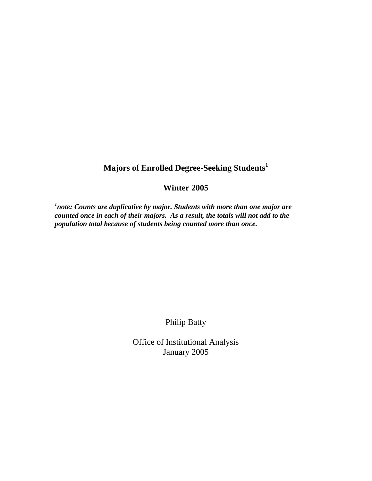## **Majors of Enrolled Degree-Seeking Students<sup>1</sup>**

## **Winter 2005**

<sup>1</sup>note: Counts are duplicative by major. Students with more than one major are *counted once in each of their majors. As a result, the totals will not add to the population total because of students being counted more than once.* 

Philip Batty

Office of Institutional Analysis January 2005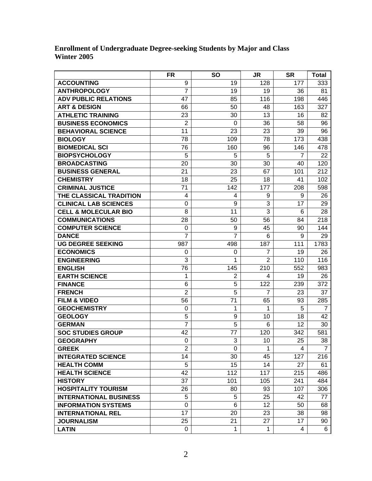## **Enrollment of Undergraduate Degree-seeking Students by Major and Class Winter 2005**

|                                 | FR             | <b>SO</b>      | <b>JR</b>      | <b>SR</b> | <b>Total</b>   |
|---------------------------------|----------------|----------------|----------------|-----------|----------------|
| <b>ACCOUNTING</b>               | 9              | 19             | 128            | 177       | 333            |
| <b>ANTHROPOLOGY</b>             | $\overline{7}$ | 19             | 19             | 36        | 81             |
| <b>ADV PUBLIC RELATIONS</b>     | 47             | 85             | 116            | 198       | 446            |
| <b>ART &amp; DESIGN</b>         | 66             | 50             | 48             | 163       | 327            |
| <b>ATHLETIC TRAINING</b>        | 23             | 30             | 13             | 16        | 82             |
| <b>BUSINESS ECONOMICS</b>       | $\overline{2}$ | 0              | 36             | 58        | 96             |
| <b>BEHAVIORAL SCIENCE</b>       | 11             | 23             | 23             | 39        | 96             |
| <b>BIOLOGY</b>                  | 78             | 109            | 78             | 173       | 438            |
| <b>BIOMEDICAL SCI</b>           | 76             | 160            | 96             | 146       | 478            |
| <b>BIOPSYCHOLOGY</b>            | 5              | 5              | 5              | 7         | 22             |
| <b>BROADCASTING</b>             | 20             | 30             | 30             | 40        | 120            |
| <b>BUSINESS GENERAL</b>         | 21             | 23             | 67             | 101       | 212            |
| <b>CHEMISTRY</b>                | 18             | 25             | 18             | 41        | 102            |
| <b>CRIMINAL JUSTICE</b>         | 71             | 142            | 177            | 208       | 598            |
| THE CLASSICAL TRADITION         | 4              | $\overline{4}$ | 9              | 9         | 26             |
| <b>CLINICAL LAB SCIENCES</b>    | 0              | 9              | 3              | 17        | 29             |
| <b>CELL &amp; MOLECULAR BIO</b> | 8              | 11             | 3              | 6         | 28             |
| <b>COMMUNICATIONS</b>           | 28             | 50             | 56             | 84        | 218            |
| <b>COMPUTER SCIENCE</b>         | 0              | 9              | 45             | 90        | 144            |
| <b>DANCE</b>                    | 7              | 7              | 6              | 9         | 29             |
| <b>UG DEGREE SEEKING</b>        | 987            | 498            | 187            | 111       | 1783           |
| <b>ECONOMICS</b>                | 0              | 0              | $\overline{7}$ | 19        | 26             |
| <b>ENGINEERING</b>              | 3              | 1              | $\overline{2}$ | 110       | 116            |
| <b>ENGLISH</b>                  | 76             | 145            | 210            | 552       | 983            |
| <b>EARTH SCIENCE</b>            | 1              | $\overline{2}$ | 4              | 19        | 26             |
| <b>FINANCE</b>                  | 6              | 5              | 122            | 239       | 372            |
| <b>FRENCH</b>                   | $\overline{2}$ | 5              | $\overline{7}$ | 23        | 37             |
| <b>FILM &amp; VIDEO</b>         | 56             | 71             | 65             | 93        | 285            |
| <b>GEOCHEMISTRY</b>             | 0              | 1              | 1              | 5         | $\overline{7}$ |
| <b>GEOLOGY</b>                  | 5              | 9              | 10             | 18        | 42             |
| <b>GERMAN</b>                   | $\overline{7}$ | 5              | 6              | 12        | 30             |
| <b>SOC STUDIES GROUP</b>        | 42             | 77             | 120            | 342       | 581            |
| <b>GEOGRAPHY</b>                | $\mathbf 0$    | 3              | 10             | 25        | 38             |
| <b>GREEK</b>                    | $\overline{2}$ | 0              | 1              | 4         | $\overline{7}$ |
| <b>INTEGRATED SCIENCE</b>       | 14             | 30             | 45             | 127       | 216            |
| <b>HEALTH COMM</b>              | 5              | 15             | 14             | 27        | 61             |
| <b>HEALTH SCIENCE</b>           | 42             | 112            | 117            | 215       | 486            |
| <b>HISTORY</b>                  | 37             | 101            | 105            | 241       | 484            |
| <b>HOSPITALITY TOURISM</b>      | 26             | 80             | 93             | 107       | 306            |
| <b>INTERNATIONAL BUSINESS</b>   | 5              | 5              | 25             | 42        | 77             |
| <b>INFORMATION SYSTEMS</b>      | $\mathbf 0$    | 6              | 12             | 50        | 68             |
| <b>INTERNATIONAL REL</b>        | 17             | 20             | 23             | 38        | 98             |
| <b>JOURNALISM</b>               | 25             | 21             | 27             | 17        | 90             |
| <b>LATIN</b>                    | 0              | 1              | 1              | 4         | 6              |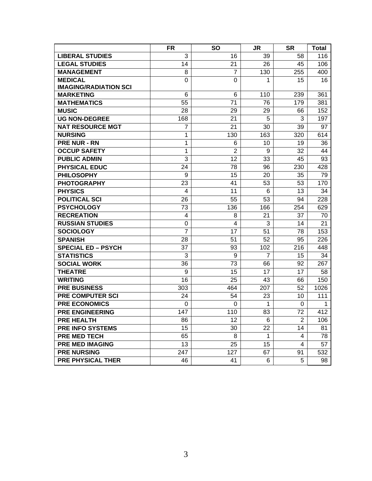|                              | <b>FR</b>      | <b>SO</b>       | <b>JR</b>      | <b>SR</b>      | <b>Total</b> |
|------------------------------|----------------|-----------------|----------------|----------------|--------------|
| <b>LIBERAL STUDIES</b>       | 3              | 16              | 39             | 58             | 116          |
| <b>LEGAL STUDIES</b>         | 14             | 21              | 26             | 45             | 106          |
| <b>MANAGEMENT</b>            | 8              | $\overline{7}$  | 130            | 255            | 400          |
| <b>MEDICAL</b>               | 0              | $\mathbf 0$     | 1              | 15             | 16           |
| <b>IMAGING/RADIATION SCI</b> |                |                 |                |                |              |
| <b>MARKETING</b>             | 6              | 6               | 110            | 239            | 361          |
| <b>MATHEMATICS</b>           | 55             | $\overline{71}$ | 76             | 179            | 381          |
| <b>MUSIC</b>                 | 28             | 29              | 29             | 66             | 152          |
| <b>UG NON-DEGREE</b>         | 168            | 21              | 5              | 3              | 197          |
| <b>NAT RESOURCE MGT</b>      | 7              | 21              | 30             | 39             | 97           |
| <b>NURSING</b>               | 1              | 130             | 163            | 320            | 614          |
| <b>PRE NUR - RN</b>          | 1              | 6               | 10             | 19             | 36           |
| <b>OCCUP SAFETY</b>          | 1              | $\overline{2}$  | 9              | 32             | 44           |
| <b>PUBLIC ADMIN</b>          | 3              | 12              | 33             | 45             | 93           |
| <b>PHYSICAL EDUC</b>         | 24             | 78              | 96             | 230            | 428          |
| <b>PHILOSOPHY</b>            | 9              | 15              | 20             | 35             | 79           |
| <b>PHOTOGRAPHY</b>           | 23             | 41              | 53             | 53             | 170          |
| <b>PHYSICS</b>               | $\overline{4}$ | 11              | 6              | 13             | 34           |
| <b>POLITICAL SCI</b>         | 26             | 55              | 53             | 94             | 228          |
| <b>PSYCHOLOGY</b>            | 73             | 136             | 166            | 254            | 629          |
| <b>RECREATION</b>            | 4              | 8               | 21             | 37             | 70           |
| <b>RUSSIAN STUDIES</b>       | $\mathbf 0$    | $\overline{4}$  | 3              | 14             | 21           |
| <b>SOCIOLOGY</b>             | $\overline{7}$ | 17              | 51             | 78             | 153          |
| <b>SPANISH</b>               | 28             | 51              | 52             | 95             | 226          |
| <b>SPECIAL ED - PSYCH</b>    | 37             | 93              | 102            | 216            | 448          |
| <b>STATISTICS</b>            | 3              | 9               | $\overline{7}$ | 15             | 34           |
| <b>SOCIAL WORK</b>           | 36             | 73              | 66             | 92             | 267          |
| <b>THEATRE</b>               | 9              | 15              | 17             | 17             | 58           |
| <b>WRITING</b>               | 16             | 25              | 43             | 66             | 150          |
| <b>PRE BUSINESS</b>          | 303            | 464             | 207            | 52             | 1026         |
| <b>PRE COMPUTER SCI</b>      | 24             | 54              | 23             | 10             | 111          |
| <b>PRE ECONOMICS</b>         | 0              | $\Omega$        | 1              | 0              | 1            |
| <b>PRE ENGINEERING</b>       | 147            | 110             | 83             | 72             | 412          |
| <b>PRE HEALTH</b>            | 86             | 12              | 6              | $\overline{2}$ | 106          |
| <b>PRE INFO SYSTEMS</b>      | 15             | 30              | 22             | 14             | 81           |
| <b>PRE MED TECH</b>          | 65             | 8               | 1              | 4              | 78           |
| <b>PRE MED IMAGING</b>       | 13             | 25              | 15             | 4              | 57           |
| <b>PRE NURSING</b>           | 247            | 127             | 67             | 91             | 532          |
| <b>PRE PHYSICAL THER</b>     | 46             | 41              | 6              | 5              | 98           |